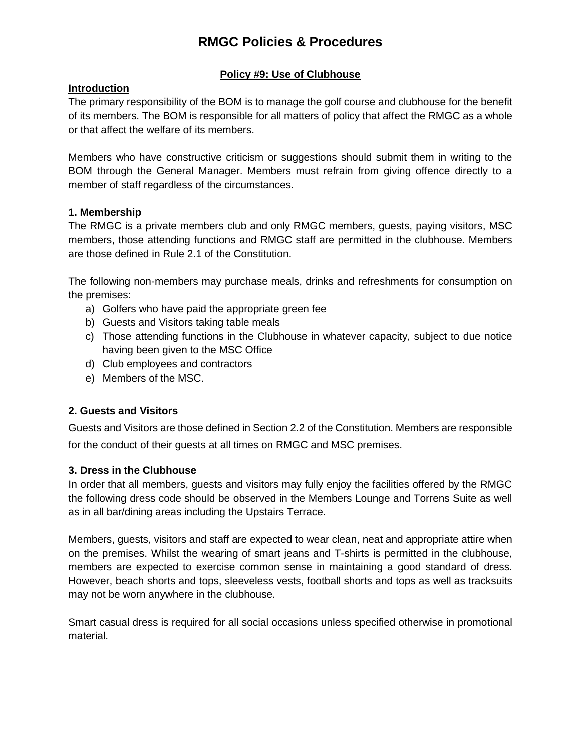## **Policy #9: Use of Clubhouse**

## **Introduction**

The primary responsibility of the BOM is to manage the golf course and clubhouse for the benefit of its members. The BOM is responsible for all matters of policy that affect the RMGC as a whole or that affect the welfare of its members.

Members who have constructive criticism or suggestions should submit them in writing to the BOM through the General Manager. Members must refrain from giving offence directly to a member of staff regardless of the circumstances.

#### **1. Membership**

The RMGC is a private members club and only RMGC members, guests, paying visitors, MSC members, those attending functions and RMGC staff are permitted in the clubhouse. Members are those defined in Rule 2.1 of the Constitution.

The following non-members may purchase meals, drinks and refreshments for consumption on the premises:

- a) Golfers who have paid the appropriate green fee
- b) Guests and Visitors taking table meals
- c) Those attending functions in the Clubhouse in whatever capacity, subject to due notice having been given to the MSC Office
- d) Club employees and contractors
- e) Members of the MSC.

#### **2. Guests and Visitors**

Guests and Visitors are those defined in Section 2.2 of the Constitution. Members are responsible for the conduct of their guests at all times on RMGC and MSC premises.

#### **3. Dress in the Clubhouse**

In order that all members, guests and visitors may fully enjoy the facilities offered by the RMGC the following dress code should be observed in the Members Lounge and Torrens Suite as well as in all bar/dining areas including the Upstairs Terrace.

Members, guests, visitors and staff are expected to wear clean, neat and appropriate attire when on the premises. Whilst the wearing of smart jeans and T-shirts is permitted in the clubhouse, members are expected to exercise common sense in maintaining a good standard of dress. However, beach shorts and tops, sleeveless vests, football shorts and tops as well as tracksuits may not be worn anywhere in the clubhouse.

Smart casual dress is required for all social occasions unless specified otherwise in promotional material.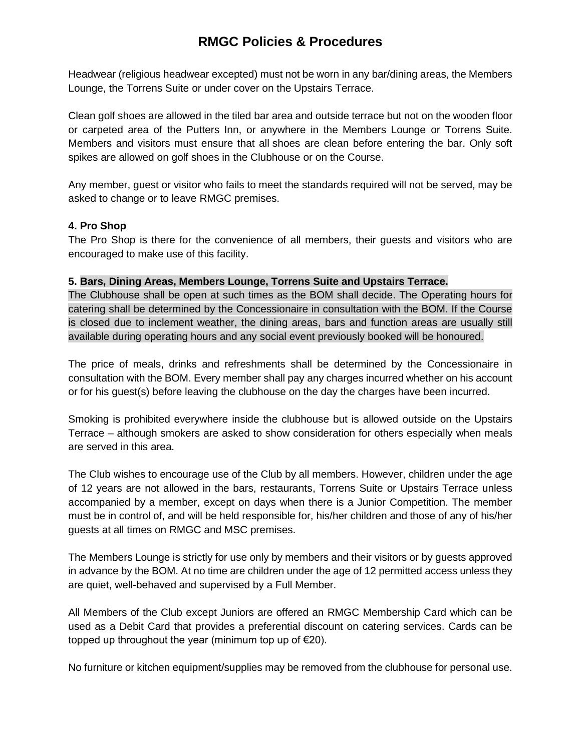Headwear (religious headwear excepted) must not be worn in any bar/dining areas, the Members Lounge, the Torrens Suite or under cover on the Upstairs Terrace.

Clean golf shoes are allowed in the tiled bar area and outside terrace but not on the wooden floor or carpeted area of the Putters Inn, or anywhere in the Members Lounge or Torrens Suite. Members and visitors must ensure that all shoes are clean before entering the bar. Only soft spikes are allowed on golf shoes in the Clubhouse or on the Course.

Any member, guest or visitor who fails to meet the standards required will not be served, may be asked to change or to leave RMGC premises.

#### **4. Pro Shop**

The Pro Shop is there for the convenience of all members, their guests and visitors who are encouraged to make use of this facility.

#### **5. Bars, Dining Areas, Members Lounge, Torrens Suite and Upstairs Terrace.**

The Clubhouse shall be open at such times as the BOM shall decide. The Operating hours for catering shall be determined by the Concessionaire in consultation with the BOM. If the Course is closed due to inclement weather, the dining areas, bars and function areas are usually still available during operating hours and any social event previously booked will be honoured.

The price of meals, drinks and refreshments shall be determined by the Concessionaire in consultation with the BOM. Every member shall pay any charges incurred whether on his account or for his guest(s) before leaving the clubhouse on the day the charges have been incurred.

Smoking is prohibited everywhere inside the clubhouse but is allowed outside on the Upstairs Terrace – although smokers are asked to show consideration for others especially when meals are served in this area.

The Club wishes to encourage use of the Club by all members. However, children under the age of 12 years are not allowed in the bars, restaurants, Torrens Suite or Upstairs Terrace unless accompanied by a member, except on days when there is a Junior Competition. The member must be in control of, and will be held responsible for, his/her children and those of any of his/her guests at all times on RMGC and MSC premises.

The Members Lounge is strictly for use only by members and their visitors or by guests approved in advance by the BOM. At no time are children under the age of 12 permitted access unless they are quiet, well-behaved and supervised by a Full Member.

All Members of the Club except Juniors are offered an RMGC Membership Card which can be used as a Debit Card that provides a preferential discount on catering services. Cards can be topped up throughout the year (minimum top up of  $\epsilon$ 20).

No furniture or kitchen equipment/supplies may be removed from the clubhouse for personal use.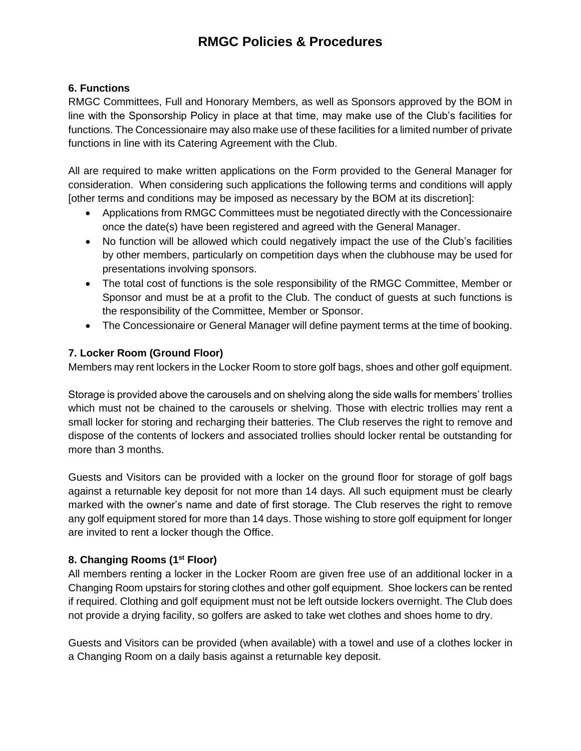## **6. Functions**

RMGC Committees, Full and Honorary Members, as well as Sponsors approved by the BOM in line with the Sponsorship Policy in place at that time, may make use of the Club's facilities for functions. The Concessionaire may also make use of these facilities for a limited number of private functions in line with its Catering Agreement with the Club.

All are required to make written applications on the Form provided to the General Manager for consideration. When considering such applications the following terms and conditions will apply [other terms and conditions may be imposed as necessary by the BOM at its discretion]:

- Applications from RMGC Committees must be negotiated directly with the Concessionaire once the date(s) have been registered and agreed with the General Manager.
- No function will be allowed which could negatively impact the use of the Club's facilities by other members, particularly on competition days when the clubhouse may be used for presentations involving sponsors.
- The total cost of functions is the sole responsibility of the RMGC Committee, Member or Sponsor and must be at a profit to the Club. The conduct of guests at such functions is the responsibility of the Committee, Member or Sponsor.
- The Concessionaire or General Manager will define payment terms at the time of booking.

## **7. Locker Room (Ground Floor)**

Members may rent lockers in the Locker Room to store golf bags, shoes and other golf equipment.

Storage is provided above the carousels and on shelving along the side walls for members' trollies which must not be chained to the carousels or shelving. Those with electric trollies may rent a small locker for storing and recharging their batteries. The Club reserves the right to remove and dispose of the contents of lockers and associated trollies should locker rental be outstanding for more than 3 months.

Guests and Visitors can be provided with a locker on the ground floor for storage of golf bags against a returnable key deposit for not more than 14 days. All such equipment must be clearly marked with the owner's name and date of first storage. The Club reserves the right to remove any golf equipment stored for more than 14 days. Those wishing to store golf equipment for longer are invited to rent a locker though the Office.

#### **8. Changing Rooms (1st Floor)**

All members renting a locker in the Locker Room are given free use of an additional locker in a Changing Room upstairs for storing clothes and other golf equipment. Shoe lockers can be rented if required. Clothing and golf equipment must not be left outside lockers overnight. The Club does not provide a drying facility, so golfers are asked to take wet clothes and shoes home to dry.

Guests and Visitors can be provided (when available) with a towel and use of a clothes locker in a Changing Room on a daily basis against a returnable key deposit.